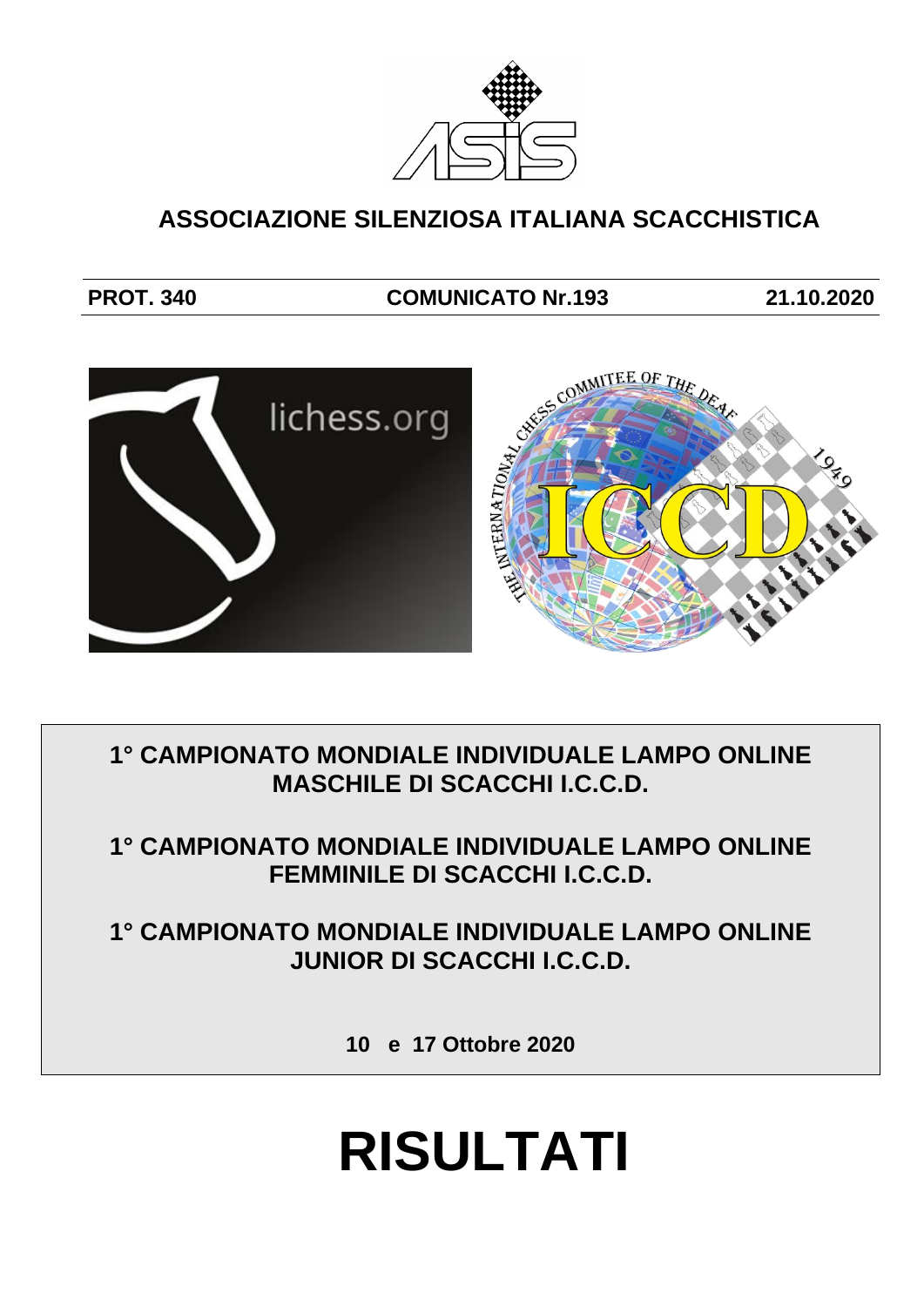

## **ASSOCIAZIONE SILENZIOSA ITALIANA SCACCHISTICA**

## **PROT. 340 COMUNICATO Nr.193 21.10.2020**



**1° CAMPIONATO MONDIALE INDIVIDUALE LAMPO ONLINE MASCHILE DI SCACCHI I.C.C.D.**

**1° CAMPIONATO MONDIALE INDIVIDUALE LAMPO ONLINE FEMMINILE DI SCACCHI I.C.C.D.**

**1° CAMPIONATO MONDIALE INDIVIDUALE LAMPO ONLINE JUNIOR DI SCACCHI I.C.C.D.**

**10 e 17 Ottobre 2020**

# **RISULTATI**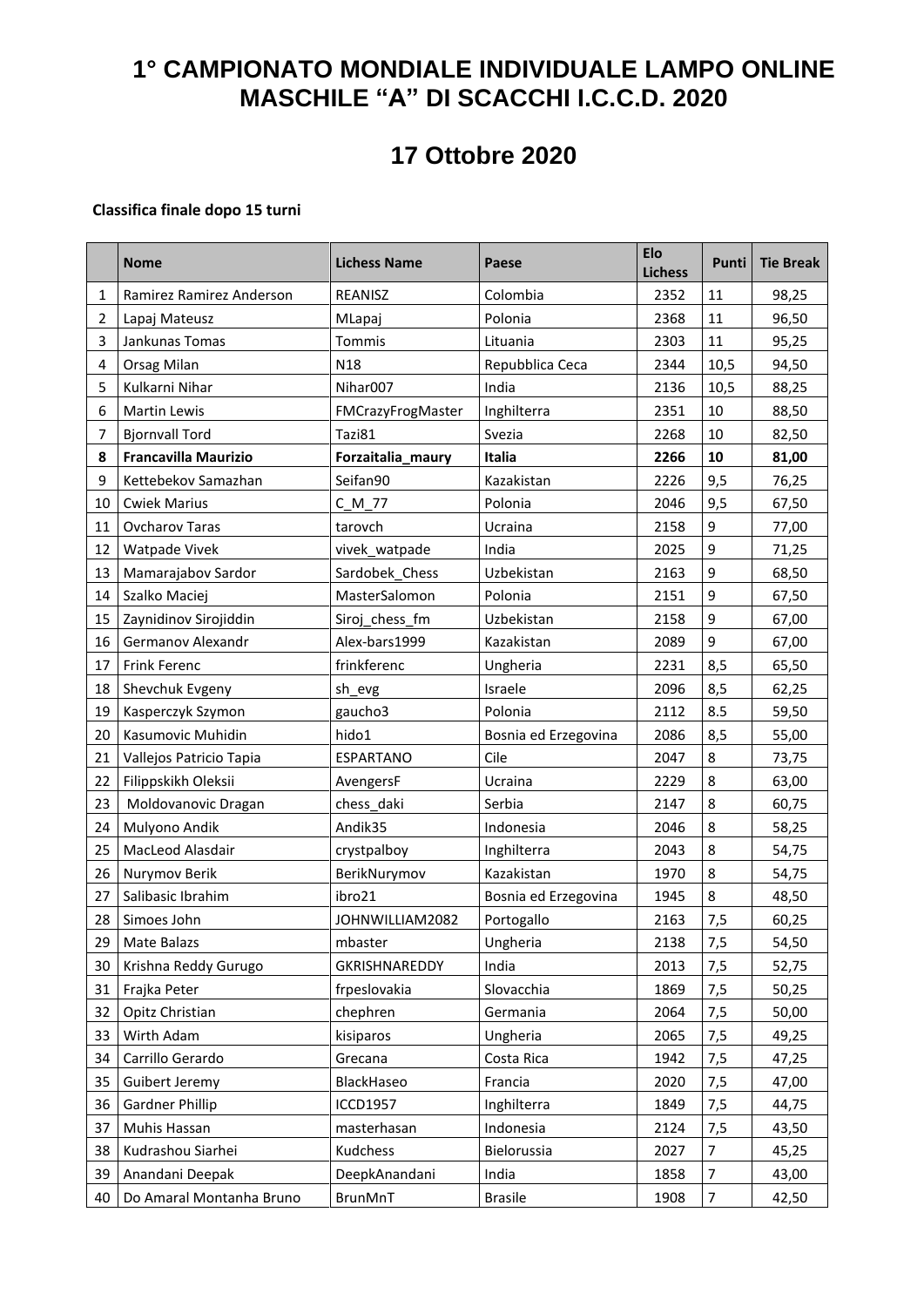## **1° CAMPIONATO MONDIALE INDIVIDUALE LAMPO ONLINE MASCHILE "A" DI SCACCHI I.C.C.D. 2020**

# **17 Ottobre 2020**

#### **Classifica finale dopo 15 turni**

|                | <b>Nome</b>                 | <b>Lichess Name</b>  | Paese                | <b>Elo</b><br><b>Lichess</b> | Punti          | <b>Tie Break</b> |
|----------------|-----------------------------|----------------------|----------------------|------------------------------|----------------|------------------|
| $\mathbf{1}$   | Ramirez Ramirez Anderson    | REANISZ              | Colombia             | 2352                         | 11             | 98,25            |
| $\overline{2}$ | Lapaj Mateusz               | MLapaj               | Polonia              | 2368                         | 11             | 96,50            |
| 3              | Jankunas Tomas              | Tommis               | Lituania             | 2303                         | $11\,$         | 95,25            |
| 4              | Orsag Milan                 | N <sub>18</sub>      | Repubblica Ceca      | 2344                         | 10,5           | 94,50            |
| 5              | Kulkarni Nihar              | Nihar007             | India                | 2136                         | 10,5           | 88,25            |
| 6              | <b>Martin Lewis</b>         | FMCrazyFrogMaster    | Inghilterra          | 2351                         | 10             | 88,50            |
| 7              | <b>Bjornvall Tord</b>       | Tazi81               | Svezia               | 2268                         | 10             | 82,50            |
| 8              | <b>Francavilla Maurizio</b> | Forzaitalia_maury    | Italia               | 2266                         | 10             | 81,00            |
| 9              | Kettebekov Samazhan         | Seifan90             | Kazakistan           | 2226                         | 9,5            | 76,25            |
| 10             | <b>Cwiek Marius</b>         | $C_M_7$              | Polonia              | 2046                         | 9,5            | 67,50            |
| 11             | Ovcharov Taras              | tarovch              | Ucraina              | 2158                         | 9              | 77,00            |
| 12             | Watpade Vivek               | vivek_watpade        | India                | 2025                         | 9              | 71,25            |
| 13             | Mamarajabov Sardor          | Sardobek Chess       | Uzbekistan           | 2163                         | 9              | 68,50            |
| 14             | Szalko Maciej               | MasterSalomon        | Polonia              | 2151                         | 9              | 67,50            |
| 15             | Zaynidinov Sirojiddin       | Siroj_chess_fm       | Uzbekistan           | 2158                         | 9              | 67,00            |
| 16             | Germanov Alexandr           | Alex-bars1999        | Kazakistan           | 2089                         | 9              | 67,00            |
| 17             | <b>Frink Ferenc</b>         | frinkferenc          | Ungheria             | 2231                         | 8,5            | 65,50            |
| 18             | Shevchuk Evgeny             | sh_evg               | Israele              | 2096                         | 8,5            | 62,25            |
| 19             | Kasperczyk Szymon           | gaucho3              | Polonia              | 2112                         | 8.5            | 59,50            |
| 20             | Kasumovic Muhidin           | hido1                | Bosnia ed Erzegovina | 2086                         | 8,5            | 55,00            |
| 21             | Vallejos Patricio Tapia     | ESPARTANO            | Cile                 | 2047                         | 8              | 73,75            |
| 22             | Filippskikh Oleksii         | AvengersF            | Ucraina              | 2229                         | 8              | 63,00            |
| 23             | Moldovanovic Dragan         | chess_daki           | Serbia               | 2147                         | 8              | 60,75            |
| 24             | Mulyono Andik               | Andik35              | Indonesia            | 2046                         | 8              | 58,25            |
| 25             | MacLeod Alasdair            | crystpalboy          | Inghilterra          | 2043                         | 8              | 54,75            |
| 26             | Nurymov Berik               | BerikNurymov         | Kazakistan           | 1970                         | 8              | 54,75            |
| 27             | Salibasic Ibrahim           | ibro21               | Bosnia ed Erzegovina | 1945                         | 8              | 48,50            |
| 28             | Simoes John                 | JOHNWILLIAM2082      | Portogallo           | 2163                         | 7,5            | 60,25            |
| 29             | Mate Balazs                 | mbaster              | Ungheria             | 2138                         | 7,5            | 54,50            |
| 30             | Krishna Reddy Gurugo        | <b>GKRISHNAREDDY</b> | India                | 2013                         | 7,5            | 52,75            |
| 31             | Frajka Peter                | frpeslovakia         | Slovacchia           | 1869                         | 7,5            | 50,25            |
| 32             | Opitz Christian             | chephren             | Germania             | 2064                         | 7,5            | 50,00            |
| 33             | Wirth Adam                  | kisiparos            | Ungheria             | 2065                         | 7,5            | 49,25            |
| 34             | Carrillo Gerardo            | Grecana              | Costa Rica           | 1942                         | 7,5            | 47,25            |
| 35             | Guibert Jeremy              | BlackHaseo           | Francia              | 2020                         | 7,5            | 47,00            |
| 36             | <b>Gardner Phillip</b>      | <b>ICCD1957</b>      | Inghilterra          | 1849                         | 7,5            | 44,75            |
| 37             | Muhis Hassan                | masterhasan          | Indonesia            | 2124                         | 7,5            | 43,50            |
| 38             | Kudrashou Siarhei           | Kudchess             | Bielorussia          | 2027                         | $\overline{7}$ | 45,25            |
| 39             | Anandani Deepak             | DeepkAnandani        | India                | 1858                         | 7              | 43,00            |
| 40             | Do Amaral Montanha Bruno    | BrunMnT              | <b>Brasile</b>       | 1908                         | 7              | 42,50            |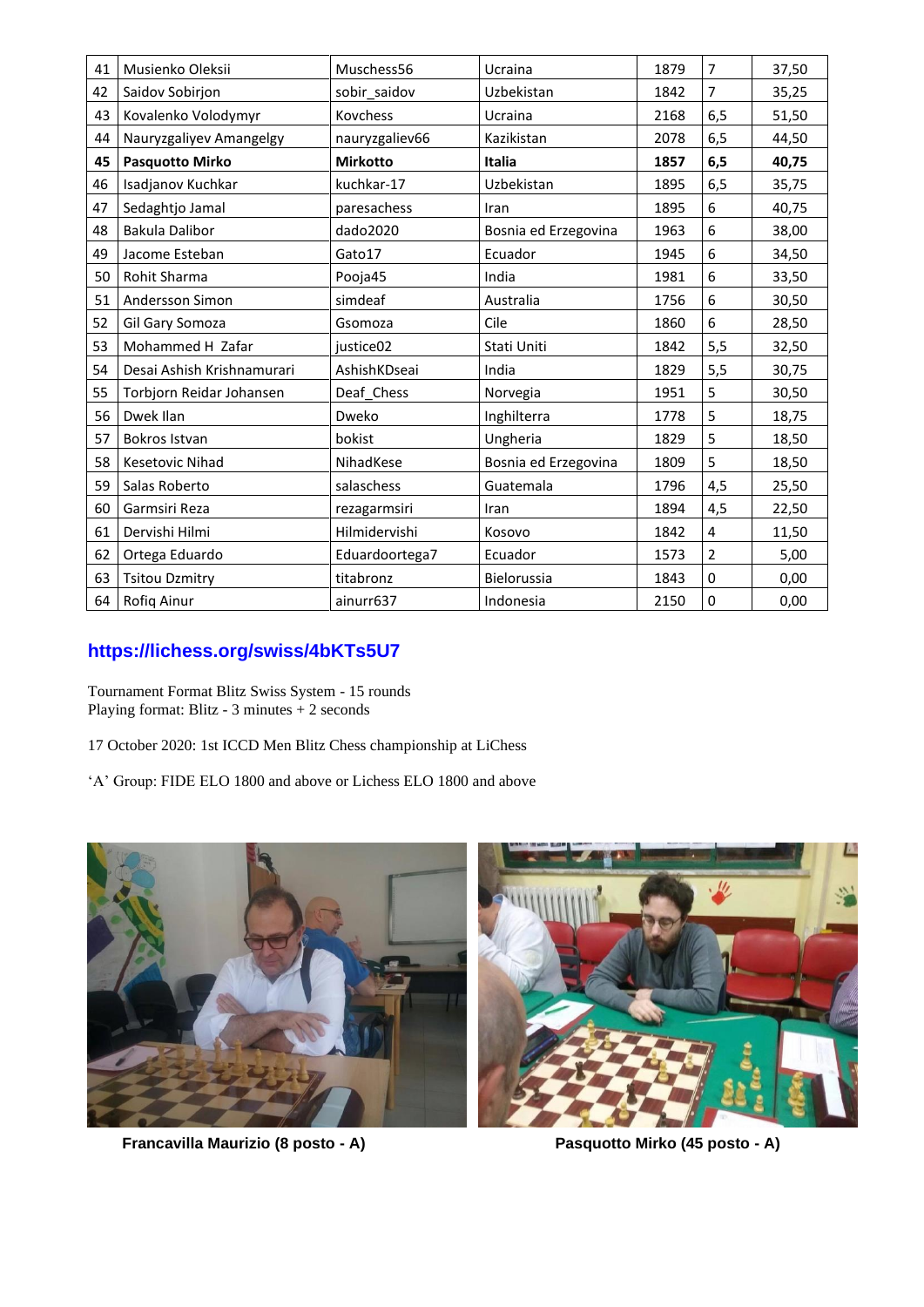| 41 | Musienko Oleksii           | Muschess56      | Ucraina              | 1879 | $\overline{7}$ | 37,50 |
|----|----------------------------|-----------------|----------------------|------|----------------|-------|
| 42 | Saidov Sobirjon            | sobir saidov    | Uzbekistan           | 1842 | $\overline{7}$ | 35,25 |
| 43 | Kovalenko Volodymyr        | Kovchess        | Ucraina              | 2168 | 6,5            | 51,50 |
| 44 | Nauryzgaliyev Amangelgy    | nauryzgaliev66  | Kazikistan           | 2078 | 6,5            | 44,50 |
| 45 | <b>Pasquotto Mirko</b>     | <b>Mirkotto</b> | Italia               | 1857 | 6, 5           | 40,75 |
| 46 | Isadjanov Kuchkar          | kuchkar-17      | Uzbekistan           | 1895 | 6,5            | 35,75 |
| 47 | Sedaghtjo Jamal            | paresachess     | Iran                 | 1895 | 6              | 40,75 |
| 48 | Bakula Dalibor             | dado2020        | Bosnia ed Erzegovina | 1963 | 6              | 38,00 |
| 49 | Jacome Esteban             | Gato17          | Ecuador              | 1945 | 6              | 34,50 |
| 50 | Rohit Sharma               | Pooja45         | India                | 1981 | 6              | 33,50 |
| 51 | Andersson Simon            | simdeaf         | Australia            | 1756 | 6              | 30,50 |
| 52 | Gil Gary Somoza            | Gsomoza         | Cile                 | 1860 | 6              | 28,50 |
| 53 | Mohammed H Zafar           | justice02       | Stati Uniti          | 1842 | 5,5            | 32,50 |
| 54 | Desai Ashish Krishnamurari | AshishKDseai    | India                | 1829 | 5,5            | 30,75 |
| 55 | Torbjorn Reidar Johansen   | Deaf_Chess      | Norvegia             | 1951 | 5              | 30,50 |
| 56 | Dwek Ilan                  | Dweko           | Inghilterra          | 1778 | 5              | 18,75 |
| 57 | Bokros Istvan              | bokist          | Ungheria             | 1829 | 5              | 18,50 |
| 58 | <b>Kesetovic Nihad</b>     | NihadKese       | Bosnia ed Erzegovina | 1809 | 5              | 18,50 |
| 59 | Salas Roberto              | salaschess      | Guatemala            | 1796 | 4,5            | 25,50 |
| 60 | Garmsiri Reza              | rezagarmsiri    | Iran                 | 1894 | 4,5            | 22,50 |
| 61 | Dervishi Hilmi             | Hilmidervishi   | Kosovo               | 1842 | 4              | 11,50 |
| 62 | Ortega Eduardo             | Eduardoortega7  | Ecuador              | 1573 | $\overline{2}$ | 5,00  |
| 63 | <b>Tsitou Dzmitry</b>      | titabronz       | Bielorussia          | 1843 | $\Omega$       | 0,00  |
| 64 | Rofiq Ainur                | ainurr637       | Indonesia            | 2150 | 0              | 0,00  |

## **<https://lichess.org/swiss/4bKTs5U7>**

Tournament Format Blitz Swiss System - 15 rounds Playing format: Blitz - 3 minutes + 2 seconds

- 17 October 2020: 1st ICCD Men Blitz Chess championship at LiChess
- 'A' Group: FIDE ELO 1800 and above or Lichess ELO 1800 and above



 **Francavilla Maurizio (8 posto - A) Pasquotto Mirko (45 posto - A)**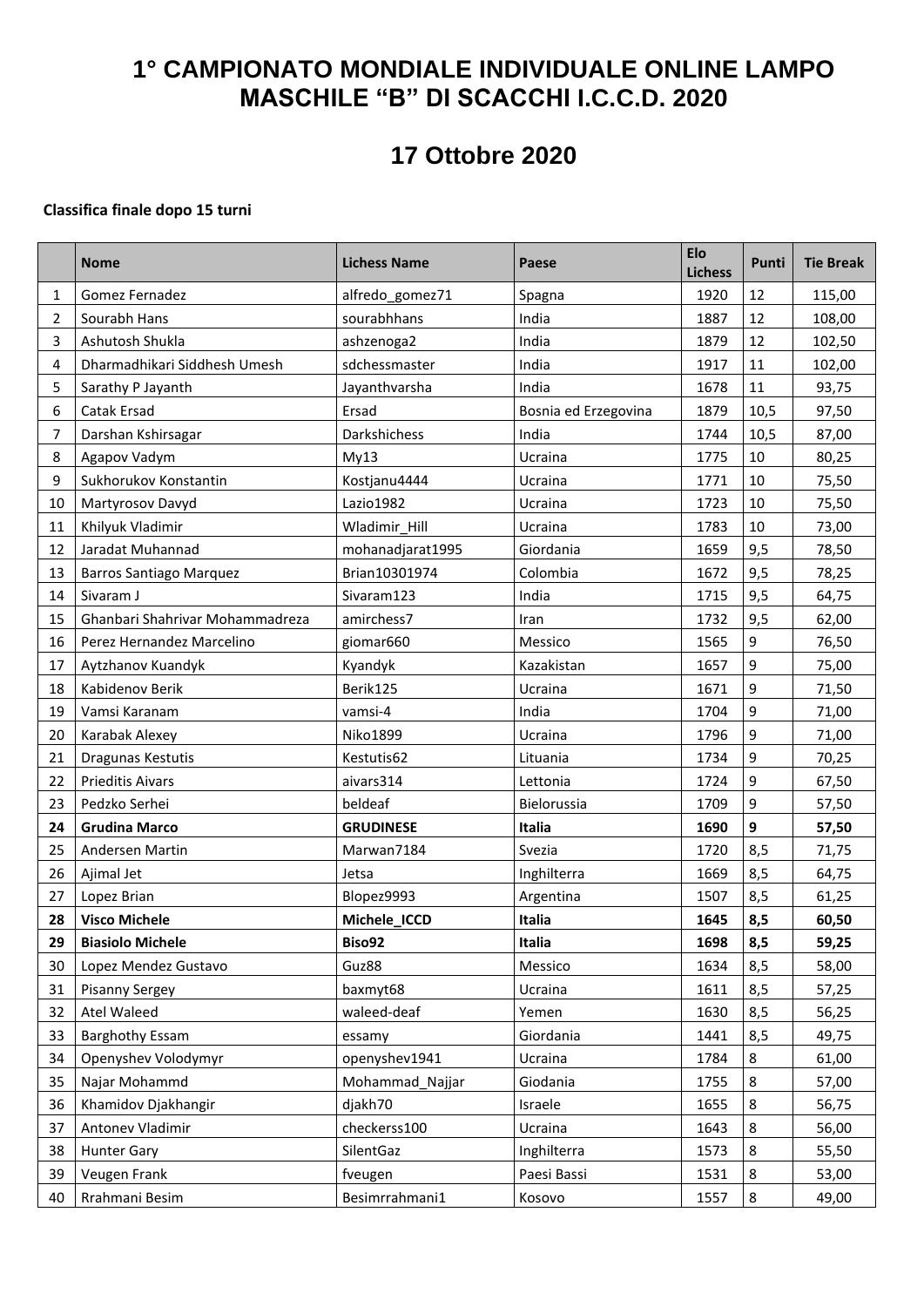## **1° CAMPIONATO MONDIALE INDIVIDUALE ONLINE LAMPO MASCHILE "B" DI SCACCHI I.C.C.D. 2020**

# **17 Ottobre 2020**

#### **Classifica finale dopo 15 turni**

|                | <b>Nome</b>                     | <b>Lichess Name</b> | Paese                | Elo<br><b>Lichess</b> | Punti | <b>Tie Break</b> |
|----------------|---------------------------------|---------------------|----------------------|-----------------------|-------|------------------|
| 1              | Gomez Fernadez                  | alfredo_gomez71     | Spagna               | 1920                  | 12    | 115,00           |
| $\overline{2}$ | Sourabh Hans                    | sourabhhans         | India                | 1887                  | 12    | 108,00           |
| 3              | Ashutosh Shukla                 | ashzenoga2          | India                | 1879                  | 12    | 102,50           |
| 4              | Dharmadhikari Siddhesh Umesh    | sdchessmaster       | India                | 1917                  | 11    | 102,00           |
| 5              | Sarathy P Jayanth               | Jayanthvarsha       | India                | 1678                  | 11    | 93,75            |
| 6              | Catak Ersad                     | Ersad               | Bosnia ed Erzegovina | 1879                  | 10,5  | 97,50            |
| 7              | Darshan Kshirsagar              | Darkshichess        | India                | 1744                  | 10,5  | 87,00            |
| 8              | Agapov Vadym                    | My13                | Ucraina              | 1775                  | 10    | 80,25            |
| 9              | Sukhorukov Konstantin           | Kostjanu4444        | Ucraina              | 1771                  | 10    | 75,50            |
| 10             | Martyrosov Davyd                | Lazio1982           | Ucraina              | 1723                  | 10    | 75,50            |
| 11             | Khilyuk Vladimir                | Wladimir Hill       | Ucraina              | 1783                  | 10    | 73,00            |
| 12             | Jaradat Muhannad                | mohanadjarat1995    | Giordania            | 1659                  | 9,5   | 78,50            |
| 13             | <b>Barros Santiago Marquez</b>  | Brian10301974       | Colombia             | 1672                  | 9,5   | 78,25            |
| 14             | Sivaram J                       | Sivaram123          | India                | 1715                  | 9,5   | 64,75            |
| 15             | Ghanbari Shahrivar Mohammadreza | amirchess7          | Iran                 | 1732                  | 9,5   | 62,00            |
| 16             | Perez Hernandez Marcelino       | giomar660           | Messico              | 1565                  | 9     | 76,50            |
| 17             | Aytzhanov Kuandyk               | Kyandyk             | Kazakistan           | 1657                  | 9     | 75,00            |
| 18             | Kabidenov Berik                 | Berik125            | Ucraina              | 1671                  | 9     | 71,50            |
| 19             | Vamsi Karanam                   | vamsi-4             | India                | 1704                  | 9     | 71,00            |
| 20             | Karabak Alexey                  | Niko1899            | Ucraina              | 1796                  | 9     | 71,00            |
| 21             | Dragunas Kestutis               | Kestutis62          | Lituania             | 1734                  | 9     | 70,25            |
| 22             | <b>Prieditis Aivars</b>         | aivars314           | Lettonia             | 1724                  | 9     | 67,50            |
| 23             | Pedzko Serhei                   | beldeaf             | Bielorussia          | 1709                  | 9     | 57,50            |
| 24             | <b>Grudina Marco</b>            | <b>GRUDINESE</b>    | Italia               | 1690                  | 9     | 57,50            |
| 25             | Andersen Martin                 | Marwan7184          | Svezia               | 1720                  | 8,5   | 71,75            |
| 26             | Ajimal Jet                      | Jetsa               | Inghilterra          | 1669                  | 8,5   | 64,75            |
| 27             | Lopez Brian                     | Blopez9993          | Argentina            | 1507                  | 8,5   | 61,25            |
| 28             | <b>Visco Michele</b>            | Michele_ICCD        | Italia               | 1645                  | 8,5   | 60,50            |
| 29             | <b>Biasiolo Michele</b>         | Biso92              | Italia               | 1698                  | 8,5   | 59,25            |
| 30             | Lopez Mendez Gustavo            | Guz88               | Messico              | 1634                  | 8,5   | 58,00            |
| 31             | <b>Pisanny Sergey</b>           | baxmyt68            | Ucraina              | 1611                  | 8,5   | 57,25            |
| 32             | <b>Atel Waleed</b>              | waleed-deaf         | Yemen                | 1630                  | 8,5   | 56,25            |
| 33             | <b>Barghothy Essam</b>          | essamy              | Giordania            | 1441                  | 8,5   | 49,75            |
| 34             | Openyshev Volodymyr             | openyshev1941       | Ucraina              | 1784                  | 8     | 61,00            |
| 35             | Najar Mohammd                   | Mohammad Najjar     | Giodania             | 1755                  | 8     | 57,00            |
| 36             | Khamidov Djakhangir             | djakh70             | Israele              | 1655                  | 8     | 56,75            |
| 37             | Antonev Vladimir                | checkerss100        | Ucraina              | 1643                  | 8     | 56,00            |
| 38             | <b>Hunter Gary</b>              | SilentGaz           | Inghilterra          | 1573                  | 8     | 55,50            |
| 39             | Veugen Frank                    | fveugen             | Paesi Bassi          | 1531                  | 8     | 53,00            |
| 40             | Rrahmani Besim                  | Besimrrahmani1      | Kosovo               | 1557                  | 8     | 49,00            |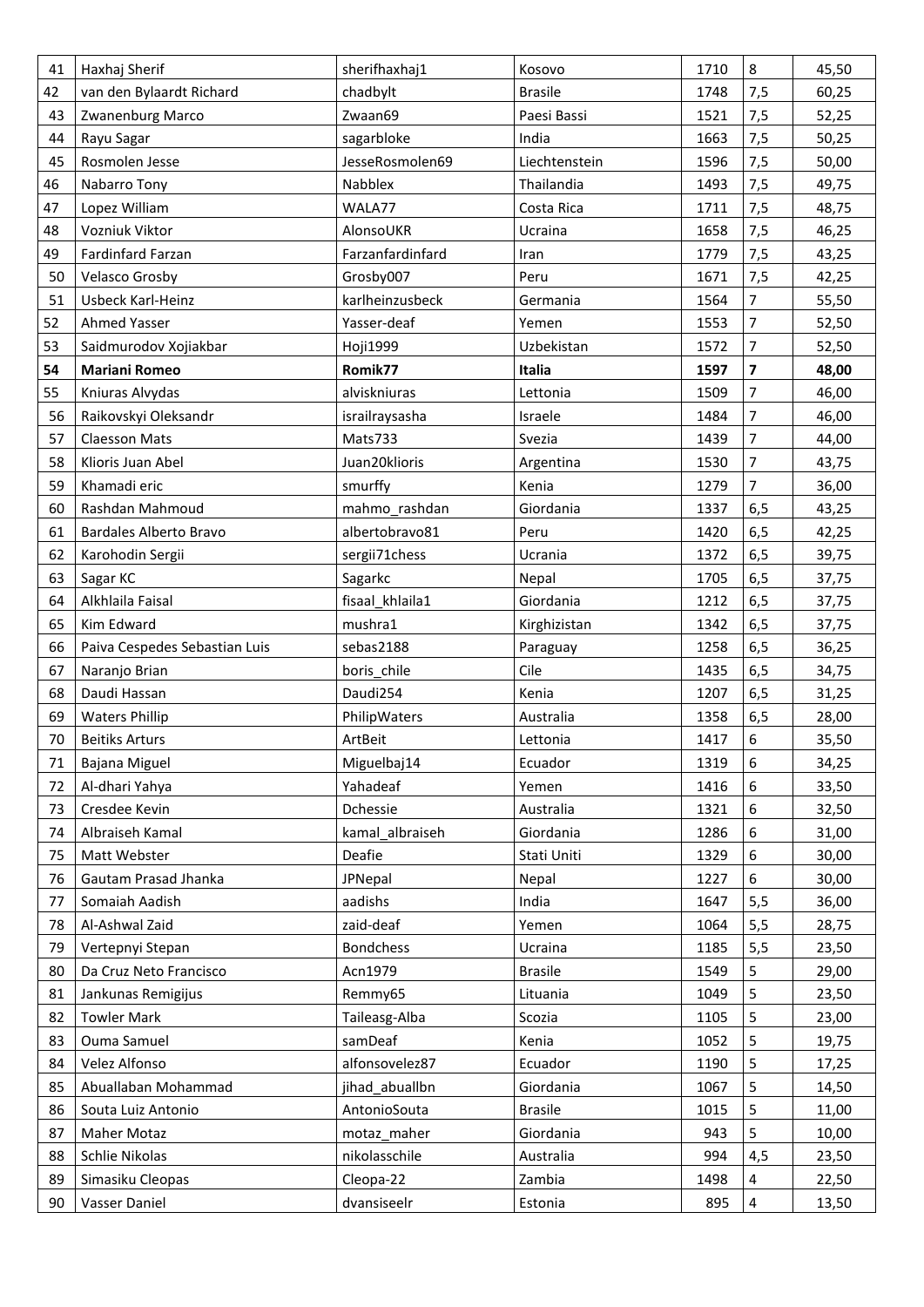| 41 | Haxhaj Sherif                 | sherifhaxhaj1    | Kosovo         | 1710 | $\bf 8$                 | 45,50 |
|----|-------------------------------|------------------|----------------|------|-------------------------|-------|
| 42 | van den Bylaardt Richard      | chadbylt         | <b>Brasile</b> | 1748 | 7,5                     | 60,25 |
| 43 | Zwanenburg Marco              | Zwaan69          | Paesi Bassi    | 1521 | 7,5                     | 52,25 |
| 44 | Rayu Sagar                    | sagarbloke       | India          | 1663 | 7,5                     | 50,25 |
| 45 | Rosmolen Jesse                | JesseRosmolen69  | Liechtenstein  | 1596 | 7,5                     | 50,00 |
| 46 | Nabarro Tony                  | Nabblex          | Thailandia     | 1493 | 7,5                     | 49,75 |
| 47 | Lopez William                 | WALA77           | Costa Rica     | 1711 | 7,5                     | 48,75 |
| 48 | Vozniuk Viktor                | AlonsoUKR        | Ucraina        | 1658 | 7,5                     | 46,25 |
| 49 | Fardinfard Farzan             | Farzanfardinfard | Iran           | 1779 | 7,5                     | 43,25 |
| 50 | Velasco Grosby                | Grosby007        | Peru           | 1671 | 7,5                     | 42,25 |
| 51 | Usbeck Karl-Heinz             | karlheinzusbeck  | Germania       | 1564 | 7                       | 55,50 |
| 52 | Ahmed Yasser                  | Yasser-deaf      | Yemen          | 1553 | $\overline{7}$          | 52,50 |
| 53 | Saidmurodov Xojiakbar         | Hoji1999         | Uzbekistan     | 1572 | $\overline{7}$          | 52,50 |
| 54 | <b>Mariani Romeo</b>          | Romik77          | Italia         | 1597 | $\overline{\mathbf{z}}$ | 48,00 |
| 55 | Kniuras Alvydas               | alviskniuras     | Lettonia       | 1509 | 7                       | 46,00 |
| 56 | Raikovskyi Oleksandr          | israilraysasha   | Israele        | 1484 | $\overline{7}$          | 46,00 |
| 57 | <b>Claesson Mats</b>          | Mats733          | Svezia         | 1439 | $\overline{7}$          | 44,00 |
| 58 | Klioris Juan Abel             | Juan20klioris    | Argentina      | 1530 | $\overline{7}$          | 43,75 |
| 59 | Khamadi eric                  | smurffy          | Kenia          | 1279 | $\overline{7}$          | 36,00 |
| 60 | Rashdan Mahmoud               | mahmo rashdan    | Giordania      | 1337 | 6,5                     | 43,25 |
| 61 | Bardales Alberto Bravo        | albertobravo81   | Peru           | 1420 | 6,5                     | 42,25 |
| 62 | Karohodin Sergii              | sergii71chess    | Ucrania        | 1372 | 6,5                     | 39,75 |
| 63 | Sagar KC                      | Sagarkc          | Nepal          | 1705 | 6, 5                    | 37,75 |
| 64 | Alkhlaila Faisal              | fisaal khlaila1  | Giordania      | 1212 | 6, 5                    | 37,75 |
| 65 | Kim Edward                    | mushra1          | Kirghizistan   | 1342 | 6, 5                    | 37,75 |
| 66 | Paiva Cespedes Sebastian Luis | sebas2188        | Paraguay       | 1258 | 6, 5                    | 36,25 |
| 67 | Naranjo Brian                 | boris_chile      | Cile           | 1435 | 6, 5                    | 34,75 |
| 68 | Daudi Hassan                  | Daudi254         | Kenia          | 1207 | 6, 5                    | 31,25 |
| 69 | <b>Waters Phillip</b>         | PhilipWaters     | Australia      | 1358 | 6, 5                    | 28,00 |
| 70 | <b>Beitiks Arturs</b>         | ArtBeit          | Lettonia       | 1417 | 6                       | 35,50 |
| 71 | Bajana Miguel                 | Miguelbaj14      | Ecuador        | 1319 | 6                       | 34,25 |
| 72 | Al-dhari Yahya                | Yahadeaf         | Yemen          | 1416 | 6                       | 33,50 |
| 73 | Cresdee Kevin                 | Dchessie         | Australia      | 1321 | 6                       | 32,50 |
| 74 | Albraiseh Kamal               | kamal albraiseh  | Giordania      | 1286 | 6                       | 31,00 |
| 75 | Matt Webster                  | Deafie           | Stati Uniti    | 1329 | 6                       | 30,00 |
| 76 | Gautam Prasad Jhanka          | JPNepal          | Nepal          | 1227 | 6                       | 30,00 |
| 77 | Somaiah Aadish                | aadishs          | India          | 1647 | 5,5                     | 36,00 |
| 78 | Al-Ashwal Zaid                | zaid-deaf        | Yemen          | 1064 | 5,5                     | 28,75 |
| 79 | Vertepnyi Stepan              | <b>Bondchess</b> | Ucraina        | 1185 | 5,5                     | 23,50 |
| 80 | Da Cruz Neto Francisco        | Acn1979          | <b>Brasile</b> | 1549 | 5                       | 29,00 |
| 81 | Jankunas Remigijus            | Remmy65          | Lituania       | 1049 | 5                       | 23,50 |
| 82 | <b>Towler Mark</b>            | Taileasg-Alba    | Scozia         | 1105 | 5                       | 23,00 |
| 83 | Ouma Samuel                   | samDeaf          | Kenia          | 1052 | 5                       | 19,75 |
| 84 | Velez Alfonso                 | alfonsovelez87   | Ecuador        | 1190 | 5                       | 17,25 |
| 85 | Abuallaban Mohammad           | jihad abuallbn   | Giordania      | 1067 | 5                       | 14,50 |
| 86 | Souta Luiz Antonio            | AntonioSouta     | <b>Brasile</b> | 1015 | 5                       | 11,00 |
| 87 | Maher Motaz                   | motaz maher      | Giordania      | 943  | 5                       | 10,00 |
| 88 | Schlie Nikolas                | nikolasschile    | Australia      | 994  | 4,5                     | 23,50 |
| 89 | Simasiku Cleopas              | Cleopa-22        | Zambia         | 1498 | 4                       | 22,50 |
| 90 | Vasser Daniel                 | dvansiseelr      | Estonia        | 895  | 4                       | 13,50 |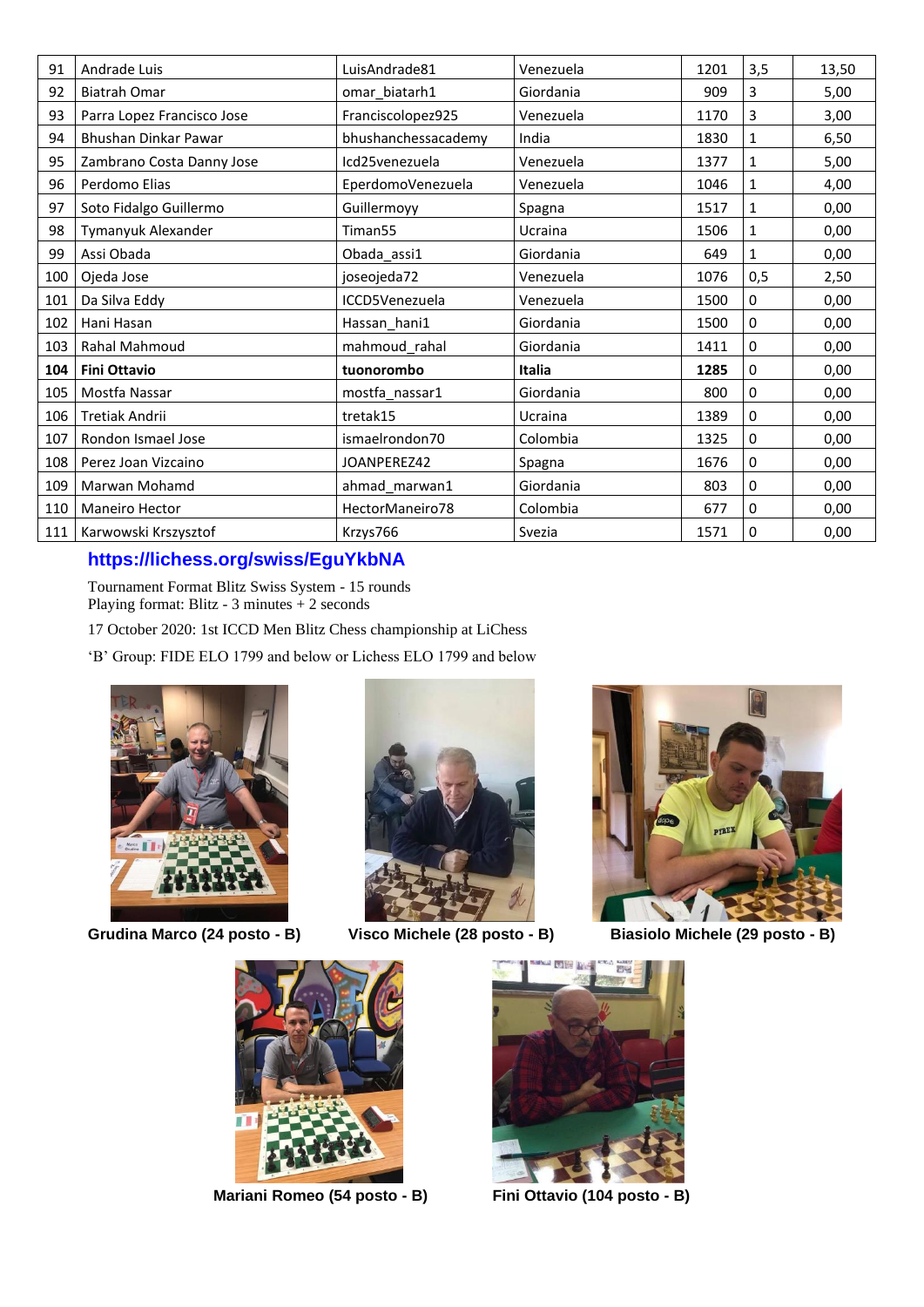| 91  | Andrade Luis               | LuisAndrade81       | Venezuela     | 1201 | 3,5          | 13,50 |
|-----|----------------------------|---------------------|---------------|------|--------------|-------|
| 92  | <b>Biatrah Omar</b>        | omar_biatarh1       | Giordania     | 909  | 3            | 5,00  |
| 93  | Parra Lopez Francisco Jose | Franciscolopez925   | Venezuela     | 1170 | 3            | 3,00  |
| 94  | Bhushan Dinkar Pawar       | bhushanchessacademy | India         | 1830 | 1            | 6,50  |
| 95  | Zambrano Costa Danny Jose  | Icd25venezuela      | Venezuela     | 1377 | 1            | 5,00  |
| 96  | Perdomo Elias              | EperdomoVenezuela   | Venezuela     | 1046 | 1            | 4,00  |
| 97  | Soto Fidalgo Guillermo     | Guillermoyy         | Spagna        | 1517 | 1            | 0,00  |
| 98  | Tymanyuk Alexander         | Timan <sub>55</sub> | Ucraina       | 1506 | 1            | 0,00  |
| 99  | Assi Obada                 | Obada_assi1         | Giordania     | 649  | $\mathbf{1}$ | 0,00  |
| 100 | Ojeda Jose                 | joseojeda72         | Venezuela     | 1076 | 0,5          | 2,50  |
| 101 | Da Silva Eddy              | ICCD5Venezuela      | Venezuela     | 1500 | 0            | 0,00  |
| 102 | Hani Hasan                 | Hassan_hani1        | Giordania     | 1500 | 0            | 0,00  |
| 103 | <b>Rahal Mahmoud</b>       | mahmoud_rahal       | Giordania     | 1411 | 0            | 0,00  |
| 104 | <b>Fini Ottavio</b>        | tuonorombo          | <b>Italia</b> | 1285 | 0            | 0,00  |
| 105 | Mostfa Nassar              | mostfa_nassar1      | Giordania     | 800  | 0            | 0,00  |
| 106 | Tretiak Andrii             | tretak15            | Ucraina       | 1389 | 0            | 0,00  |
| 107 | Rondon Ismael Jose         | ismaelrondon70      | Colombia      | 1325 | 0            | 0,00  |
| 108 | Perez Joan Vizcaino        | JOANPEREZ42         | Spagna        | 1676 | 0            | 0,00  |
| 109 | Marwan Mohamd              | ahmad_marwan1       | Giordania     | 803  | 0            | 0,00  |
| 110 | <b>Maneiro Hector</b>      | HectorManeiro78     | Colombia      | 677  | 0            | 0,00  |
| 111 | Karwowski Krszysztof       | Krzys766            | Svezia        | 1571 | 0            | 0,00  |

## **<https://lichess.org/swiss/EguYkbNA>**

Tournament Format Blitz Swiss System - 15 rounds Playing format: Blitz - 3 minutes + 2 seconds

17 October 2020: 1st ICCD Men Blitz Chess championship at LiChess

'B' Group: FIDE ELO 1799 and below or Lichess ELO 1799 and below



Grudina Marco (24 posto - B)



**Grudina Marco (24 posto - B) Visco Michele (28 posto - B) Biasiolo Michele (29 posto - B)**





**Mariani Romeo (54 posto - B) Fini Ottavio (104 posto - B)**

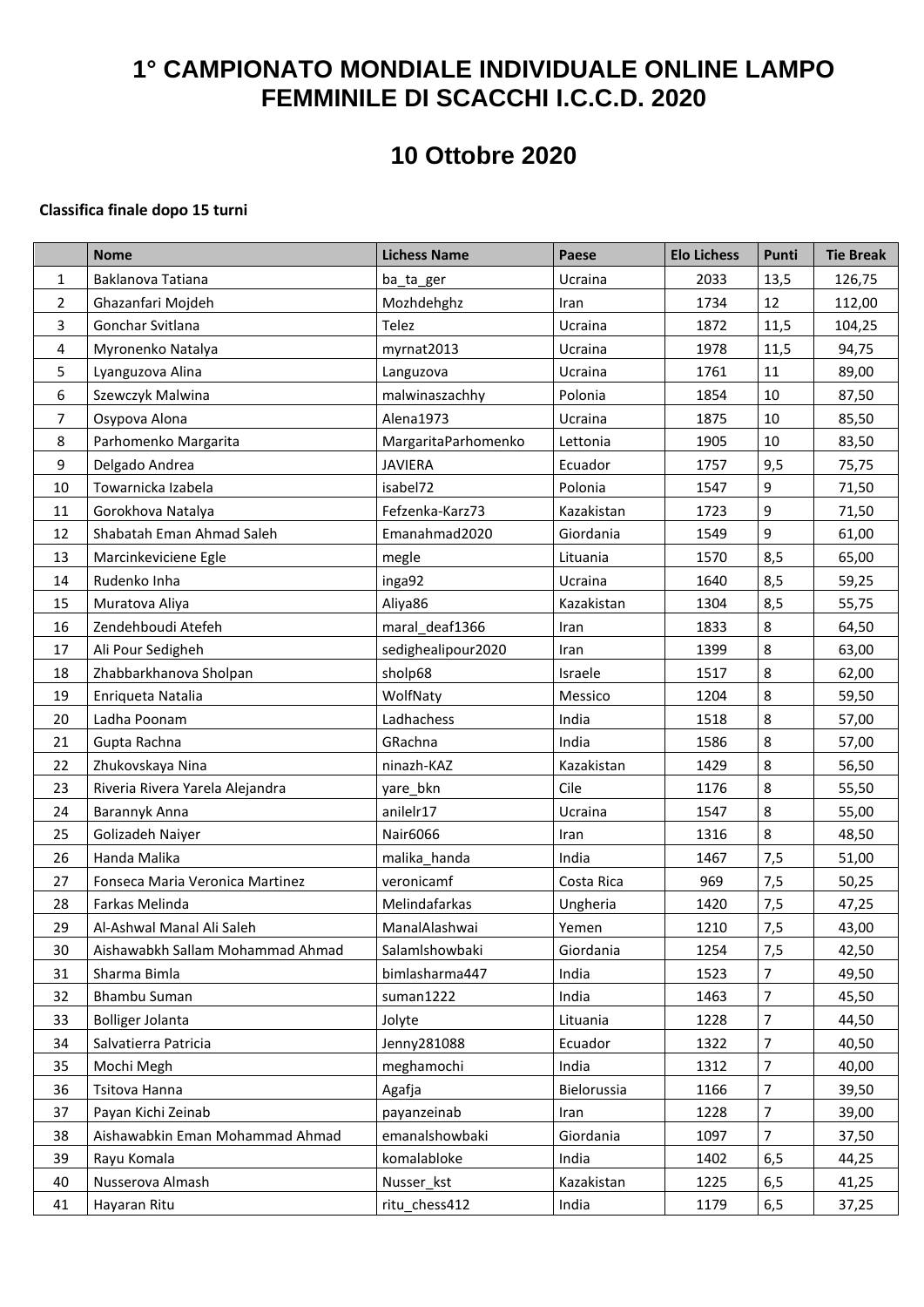# **1° CAMPIONATO MONDIALE INDIVIDUALE ONLINE LAMPO FEMMINILE DI SCACCHI I.C.C.D. 2020**

# **10 Ottobre 2020**

#### **Classifica finale dopo 15 turni**

|                | <b>Nome</b>                      | <b>Lichess Name</b> | Paese       | <b>Elo Lichess</b> | Punti | <b>Tie Break</b> |
|----------------|----------------------------------|---------------------|-------------|--------------------|-------|------------------|
| $\mathbf{1}$   | Baklanova Tatiana                | ba_ta_ger           | Ucraina     | 2033               | 13,5  | 126,75           |
| $\overline{2}$ | Ghazanfari Mojdeh                | Mozhdehghz          | Iran        | 1734               | 12    | 112,00           |
| 3              | Gonchar Svitlana                 | Telez               | Ucraina     | 1872               | 11,5  | 104,25           |
| 4              | Myronenko Natalya                | myrnat2013          | Ucraina     | 1978               | 11,5  | 94,75            |
| 5              | Lyanguzova Alina                 | Languzova           | Ucraina     | 1761               | 11    | 89,00            |
| 6              | Szewczyk Malwina                 | malwinaszachhy      | Polonia     | 1854               | 10    | 87,50            |
| 7              | Osypova Alona                    | Alena1973           | Ucraina     | 1875               | 10    | 85,50            |
| 8              | Parhomenko Margarita             | MargaritaParhomenko | Lettonia    | 1905               | 10    | 83,50            |
| 9              | Delgado Andrea                   | <b>JAVIERA</b>      | Ecuador     | 1757               | 9,5   | 75,75            |
| 10             | Towarnicka Izabela               | isabel72            | Polonia     | 1547               | 9     | 71,50            |
| 11             | Gorokhova Natalya                | Fefzenka-Karz73     | Kazakistan  | 1723               | 9     | 71,50            |
| 12             | Shabatah Eman Ahmad Saleh        | Emanahmad2020       | Giordania   | 1549               | 9     | 61,00            |
| 13             | Marcinkeviciene Egle             | megle               | Lituania    | 1570               | 8,5   | 65,00            |
| 14             | Rudenko Inha                     | inga92              | Ucraina     | 1640               | 8,5   | 59,25            |
| 15             | Muratova Aliya                   | Aliya86             | Kazakistan  | 1304               | 8,5   | 55,75            |
| 16             | Zendehboudi Atefeh               | maral deaf1366      | Iran        | 1833               | 8     | 64,50            |
| 17             | Ali Pour Sedigheh                | sedighealipour2020  | Iran        | 1399               | 8     | 63,00            |
| 18             | Zhabbarkhanova Sholpan           | sholp68             | Israele     | 1517               | 8     | 62,00            |
| 19             | Enriqueta Natalia                | WolfNaty            | Messico     | 1204               | 8     | 59,50            |
| 20             | Ladha Poonam                     | Ladhachess          | India       | 1518               | 8     | 57,00            |
| 21             | Gupta Rachna                     | GRachna             | India       | 1586               | 8     | 57,00            |
| 22             | Zhukovskaya Nina                 | ninazh-KAZ          | Kazakistan  | 1429               | 8     | 56,50            |
| 23             | Riveria Rivera Yarela Alejandra  | yare_bkn            | Cile        | 1176               | 8     | 55,50            |
| 24             | Barannyk Anna                    | anilelr17           | Ucraina     | 1547               | 8     | 55,00            |
| 25             | Golizadeh Naiyer                 | Nair6066            | Iran        | 1316               | 8     | 48,50            |
| 26             | Handa Malika                     | malika_handa        | India       | 1467               | 7,5   | 51,00            |
| 27             | Fonseca Maria Veronica Martinez  | veronicamf          | Costa Rica  | 969                | 7,5   | 50,25            |
| 28             | Farkas Melinda                   | Melindafarkas       | Ungheria    | 1420               | 7,5   | 47,25            |
| 29             | Al-Ashwal Manal Ali Saleh        | ManalAlashwai       | Yemen       | 1210               | 7,5   | 43,00            |
| 30             | Aishawabkh Sallam Mohammad Ahmad | SalamIshowbaki      | Giordania   | 1254               | 7,5   | 42,50            |
| 31             | Sharma Bimla                     | bimlasharma447      | India       | 1523               | 7     | 49,50            |
| 32             | <b>Bhambu Suman</b>              | suman1222           | India       | 1463               | 7     | 45,50            |
| 33             | <b>Bolliger Jolanta</b>          | Jolyte              | Lituania    | 1228               | 7     | 44,50            |
| 34             | Salvatierra Patricia             | Jenny281088         | Ecuador     | 1322               | 7     | 40,50            |
| 35             | Mochi Megh                       | meghamochi          | India       | 1312               | 7     | 40,00            |
| 36             | Tsitova Hanna                    | Agafja              | Bielorussia | 1166               | 7     | 39,50            |
| 37             | Payan Kichi Zeinab               | payanzeinab         | Iran        | 1228               | 7     | 39,00            |
| 38             | Aishawabkin Eman Mohammad Ahmad  | emanalshowbaki      | Giordania   | 1097               | 7     | 37,50            |
| 39             | Rayu Komala                      | komalabloke         | India       | 1402               | 6,5   | 44,25            |
| 40             | Nusserova Almash                 | Nusser kst          | Kazakistan  | 1225               | 6,5   | 41,25            |
| 41             | Hayaran Ritu                     | ritu chess412       | India       | 1179               | 6,5   | 37,25            |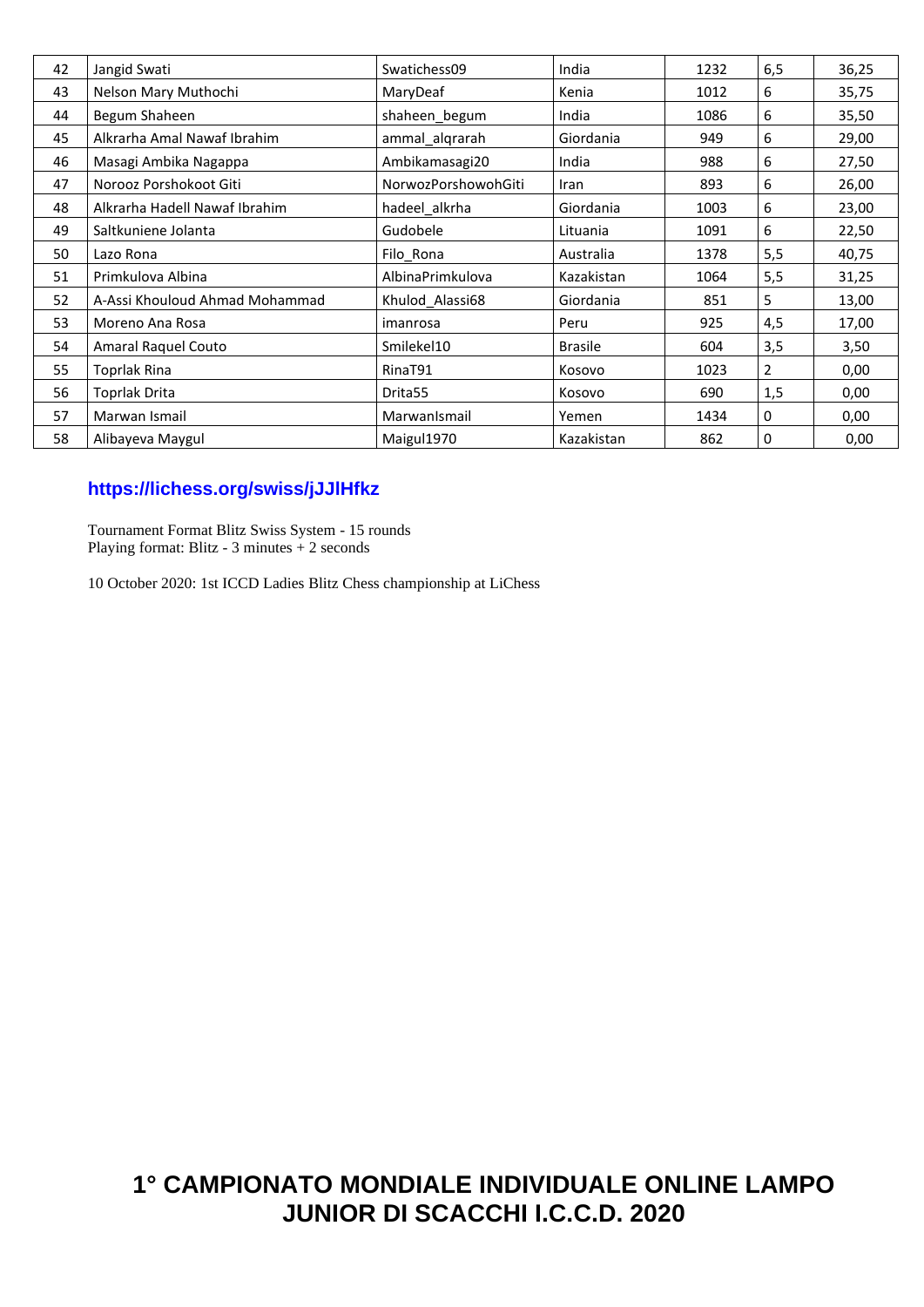| 42 | Jangid Swati                   | Swatichess09        | India          | 1232 | 6,5 | 36,25 |
|----|--------------------------------|---------------------|----------------|------|-----|-------|
| 43 | Nelson Mary Muthochi           | MaryDeaf            | Kenia          | 1012 | 6   | 35,75 |
| 44 | Begum Shaheen                  | shaheen begum       | India          | 1086 | 6   | 35,50 |
| 45 | Alkrarha Amal Nawaf Ibrahim    | ammal_alqrarah      | Giordania      | 949  | 6   | 29,00 |
| 46 | Masagi Ambika Nagappa          | Ambikamasagi20      | India          | 988  | 6   | 27,50 |
| 47 | Norooz Porshokoot Giti         | NorwozPorshowohGiti | Iran           | 893  | 6   | 26,00 |
| 48 | Alkrarha Hadell Nawaf Ibrahim  | hadeel alkrha       | Giordania      | 1003 | 6   | 23,00 |
| 49 | Saltkuniene Jolanta            | Gudobele            | Lituania       | 1091 | 6   | 22,50 |
| 50 | Lazo Rona                      | Filo_Rona           | Australia      | 1378 | 5,5 | 40,75 |
| 51 | Primkulova Albina              | AlbinaPrimkulova    | Kazakistan     | 1064 | 5,5 | 31,25 |
| 52 | A-Assi Khouloud Ahmad Mohammad | Khulod Alassi68     | Giordania      | 851  | 5   | 13,00 |
| 53 | Moreno Ana Rosa                | imanrosa            | Peru           | 925  | 4,5 | 17,00 |
| 54 | Amaral Raquel Couto            | Smilekel10          | <b>Brasile</b> | 604  | 3,5 | 3,50  |
| 55 | Toprlak Rina                   | RinaT91             | Kosovo         | 1023 | 2   | 0,00  |
| 56 | Toprlak Drita                  | Drita <sub>55</sub> | Kosovo         | 690  | 1,5 | 0,00  |
| 57 | Marwan Ismail                  | MarwanIsmail        | Yemen          | 1434 | 0   | 0,00  |
| 58 | Alibayeva Maygul               | Maigul1970          | Kazakistan     | 862  | 0   | 0,00  |

## **<https://lichess.org/swiss/jJJlHfkz>**

Tournament Format Blitz Swiss System - 15 rounds Playing format: Blitz - 3 minutes + 2 seconds

10 October 2020: 1st ICCD Ladies Blitz Chess championship at LiChess

## **1° CAMPIONATO MONDIALE INDIVIDUALE ONLINE LAMPO JUNIOR DI SCACCHI I.C.C.D. 2020**